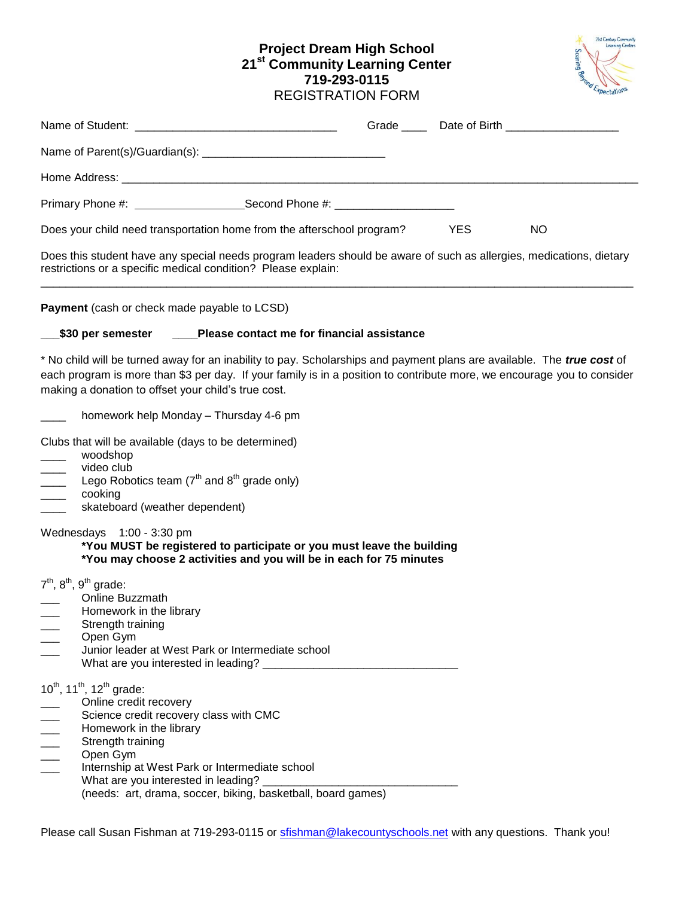# **Project Dream High School 21st Community Learning Center 719-293-0115** REGISTRATION FORM



|                                                                                                                                                                                                                                                                                                                                                                  |            | Grade ______ Date of Birth ___________________ |
|------------------------------------------------------------------------------------------------------------------------------------------------------------------------------------------------------------------------------------------------------------------------------------------------------------------------------------------------------------------|------------|------------------------------------------------|
|                                                                                                                                                                                                                                                                                                                                                                  |            |                                                |
|                                                                                                                                                                                                                                                                                                                                                                  |            |                                                |
| Primary Phone #: ______________________Second Phone #: _________________________                                                                                                                                                                                                                                                                                 |            |                                                |
| Does your child need transportation home from the afterschool program?                                                                                                                                                                                                                                                                                           | <b>YES</b> | <b>NO</b>                                      |
| Does this student have any special needs program leaders should be aware of such as allergies, medications, dietary<br>restrictions or a specific medical condition? Please explain:                                                                                                                                                                             |            |                                                |
| Payment (cash or check made payable to LCSD)                                                                                                                                                                                                                                                                                                                     |            |                                                |
| __\$30 per semester ____Please contact me for financial assistance                                                                                                                                                                                                                                                                                               |            |                                                |
| * No child will be turned away for an inability to pay. Scholarships and payment plans are available. The true cost of<br>each program is more than \$3 per day. If your family is in a position to contribute more, we encourage you to consider<br>making a donation to offset your child's true cost.                                                         |            |                                                |
| homework help Monday - Thursday 4-6 pm                                                                                                                                                                                                                                                                                                                           |            |                                                |
| Clubs that will be available (days to be determined)<br>woodshop<br>video club<br>$\overline{\phantom{a}}$<br>Lego Robotics team $(7th$ and $8th$ grade only)<br>$\overline{\phantom{a}}$<br>cooking<br>$\overline{\phantom{a}}$<br>skateboard (weather dependent)<br>$\overline{\phantom{a}}$                                                                   |            |                                                |
| Wednesdays 1:00 - 3:30 pm<br>*You MUST be registered to participate or you must leave the building<br>*You may choose 2 activities and you will be in each for 75 minutes                                                                                                                                                                                        |            |                                                |
| $7th$ , $8th$ , $9th$ grade:<br>Online Buzzmath<br>Homework in the library<br>Strength training<br>Open Gym<br>Junior leader at West Park or Intermediate school                                                                                                                                                                                                 |            |                                                |
| $10^{th}$ , 11 <sup>th</sup> , 12 <sup>th</sup> grade:<br>Online credit recovery<br>Science credit recovery class with CMC<br>$\frac{1}{1}$<br>Homework in the library<br>Strength training<br>Open Gym<br>Internship at West Park or Intermediate school<br>What are you interested in leading?<br>(needs: art, drama, soccer, biking, basketball, board games) |            |                                                |

Please call Susan Fishman at 719-293-0115 or stishman@lakecountyschools.net with any questions. Thank you!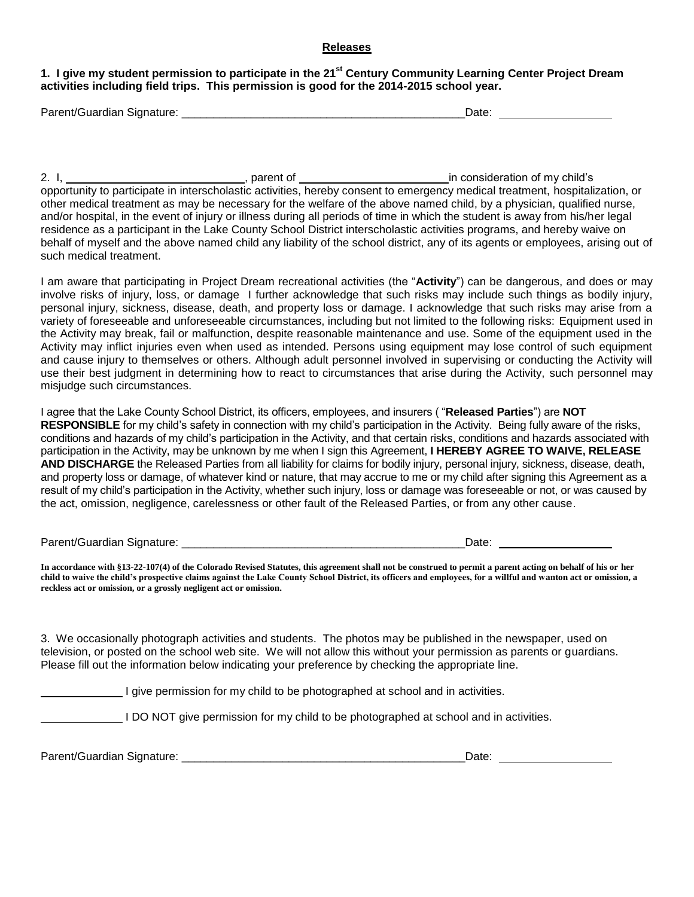#### **Releases**

## **1. I give my student permission to participate in the 21st Century Community Learning Center Project Dream activities including field trips. This permission is good for the 2014-2015 school year.**

| Parent/Guardian Signature: | Date |  |
|----------------------------|------|--|
|                            |      |  |

2. I, <u>essent of in consideration of my child's</u> parent of <u>essential consideration</u> of my child's opportunity to participate in interscholastic activities, hereby consent to emergency medical treatment, hospitalization, or other medical treatment as may be necessary for the welfare of the above named child, by a physician, qualified nurse, and/or hospital, in the event of injury or illness during all periods of time in which the student is away from his/her legal residence as a participant in the Lake County School District interscholastic activities programs, and hereby waive on behalf of myself and the above named child any liability of the school district, any of its agents or employees, arising out of such medical treatment.

I am aware that participating in Project Dream recreational activities (the "**Activity**") can be dangerous, and does or may involve risks of injury, loss, or damage I further acknowledge that such risks may include such things as bodily injury, personal injury, sickness, disease, death, and property loss or damage. I acknowledge that such risks may arise from a variety of foreseeable and unforeseeable circumstances, including but not limited to the following risks: Equipment used in the Activity may break, fail or malfunction, despite reasonable maintenance and use. Some of the equipment used in the Activity may inflict injuries even when used as intended. Persons using equipment may lose control of such equipment and cause injury to themselves or others. Although adult personnel involved in supervising or conducting the Activity will use their best judgment in determining how to react to circumstances that arise during the Activity, such personnel may misjudge such circumstances.

I agree that the Lake County School District, its officers, employees, and insurers ( "**Released Parties**") are **NOT RESPONSIBLE** for my child's safety in connection with my child's participation in the Activity. Being fully aware of the risks, conditions and hazards of my child's participation in the Activity, and that certain risks, conditions and hazards associated with participation in the Activity, may be unknown by me when I sign this Agreement, **I HEREBY AGREE TO WAIVE, RELEASE AND DISCHARGE** the Released Parties from all liability for claims for bodily injury, personal injury, sickness, disease, death, and property loss or damage, of whatever kind or nature, that may accrue to me or my child after signing this Agreement as a result of my child's participation in the Activity, whether such injury, loss or damage was foreseeable or not, or was caused by the act, omission, negligence, carelessness or other fault of the Released Parties, or from any other cause.

Parent/Guardian Signature: etc. and the state of the state of the state of the state of the state of the state of the state of the state of the state of the state of the state of the state of the state of the state of the

**In accordance with §13-22-107(4) of the Colorado Revised Statutes, this agreement shall not be construed to permit a parent acting on behalf of his or her child to waive the child's prospective claims against the Lake County School District, its officers and employees, for a willful and wanton act or omission, a reckless act or omission, or a grossly negligent act or omission.**

3. We occasionally photograph activities and students. The photos may be published in the newspaper, used on television, or posted on the school web site. We will not allow this without your permission as parents or guardians. Please fill out the information below indicating your preference by checking the appropriate line.

I give permission for my child to be photographed at school and in activities.

I DO NOT give permission for my child to be photographed at school and in activities.

Parent/Guardian Signature: \_\_\_\_\_\_\_\_\_\_\_\_\_\_\_\_\_\_\_\_\_\_\_\_\_\_\_\_\_\_\_\_\_\_\_\_\_\_\_\_\_\_\_\_\_Date: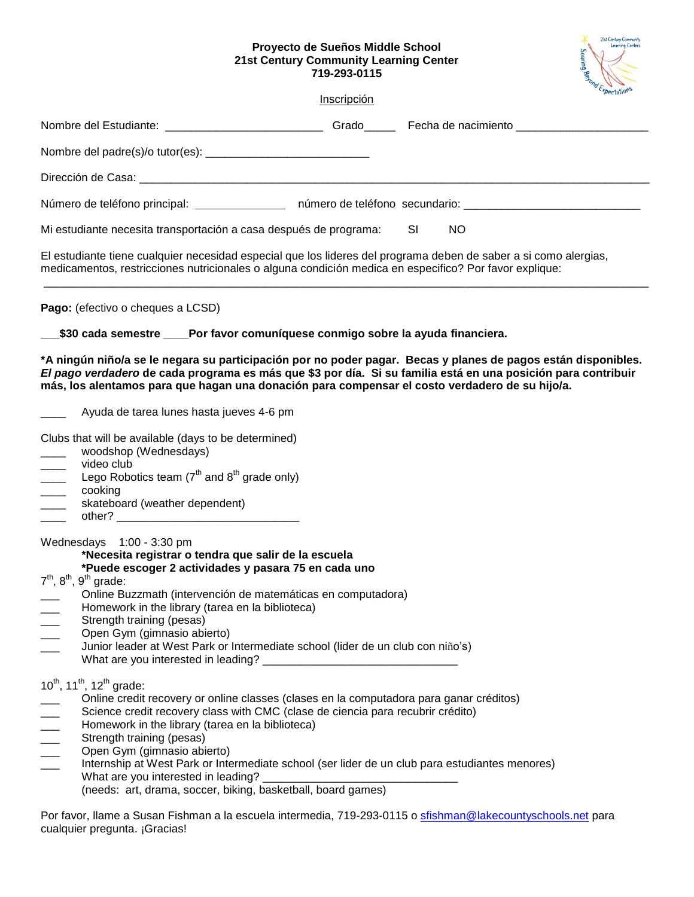## **Proyecto de Sueños Middle School 21st Century Community Learning Center 719-293-0115**



|                                                                                                                                                                                                                                                                                                                                                                                                                                                                                                                                                               | Inscripción |                  |  |
|---------------------------------------------------------------------------------------------------------------------------------------------------------------------------------------------------------------------------------------------------------------------------------------------------------------------------------------------------------------------------------------------------------------------------------------------------------------------------------------------------------------------------------------------------------------|-------------|------------------|--|
| Nombre del Estudiante: _______________________________Grado______________________                                                                                                                                                                                                                                                                                                                                                                                                                                                                             |             |                  |  |
|                                                                                                                                                                                                                                                                                                                                                                                                                                                                                                                                                               |             |                  |  |
|                                                                                                                                                                                                                                                                                                                                                                                                                                                                                                                                                               |             |                  |  |
| Número de teléfono principal: __________________ número de teléfono secundario: ___________________                                                                                                                                                                                                                                                                                                                                                                                                                                                           |             |                  |  |
| Mi estudiante necesita transportación a casa después de programa:                                                                                                                                                                                                                                                                                                                                                                                                                                                                                             |             | <b>SI</b><br>NO. |  |
| El estudiante tiene cualquier necesidad especial que los lideres del programa deben de saber a si como alergias,<br>medicamentos, restricciones nutricionales o alguna condición medica en especifico? Por favor explique:                                                                                                                                                                                                                                                                                                                                    |             |                  |  |
| Pago: (efectivo o cheques a LCSD)                                                                                                                                                                                                                                                                                                                                                                                                                                                                                                                             |             |                  |  |
| \$30 cada semestre ____Por favor comuníquese conmigo sobre la ayuda financiera.                                                                                                                                                                                                                                                                                                                                                                                                                                                                               |             |                  |  |
| *A ningún niño/a se le negara su participación por no poder pagar.  Becas y planes de pagos están disponibles.<br>El pago verdadero de cada programa es más que \$3 por día. Si su familia está en una posición para contribuir<br>más, los alentamos para que hagan una donación para compensar el costo verdadero de su hijo/a.                                                                                                                                                                                                                             |             |                  |  |
| Ayuda de tarea lunes hasta jueves 4-6 pm                                                                                                                                                                                                                                                                                                                                                                                                                                                                                                                      |             |                  |  |
| Clubs that will be available (days to be determined)<br>woodshop (Wednesdays)<br>video club<br>$\overline{\phantom{a}}$<br>Lego Robotics team $7^{th}$ and $8^{th}$ grade only)<br>$\frac{1}{1}$<br>cooking<br>$\overline{\phantom{a}}$<br>$\overline{\phantom{a}}$<br>skateboard (weather dependent)<br>$\overline{\phantom{a}}$                                                                                                                                                                                                                             |             |                  |  |
| Wednesdays 1:00 - 3:30 pm<br>*Necesita registrar o tendra que salir de la escuela<br>*Puede escoger 2 actividades y pasara 75 en cada uno<br>$7th$ , $8th$ , $9th$ grade:<br>Online Buzzmath (intervención de matemáticas en computadora)<br>Homework in the library (tarea en la biblioteca)<br>$\frac{1}{1}$<br>Strength training (pesas)<br>Open Gym (gimnasio abierto)<br>Junior leader at West Park or Intermediate school (lider de un club con niño's)<br>What are you interested in leading?                                                          |             |                  |  |
| $10^{th}$ , 11 <sup>th</sup> , 12 <sup>th</sup> grade:<br>Online credit recovery or online classes (clases en la computadora para ganar créditos)<br>Science credit recovery class with CMC (clase de ciencia para recubrir crédito)<br>Homework in the library (tarea en la biblioteca)<br>Strength training (pesas)<br>Open Gym (gimnasio abierto)<br>Internship at West Park or Intermediate school (ser lider de un club para estudiantes menores)<br>What are you interested in leading?<br>(needs: art, drama, soccer, biking, basketball, board games) |             |                  |  |
| Por favor, llame a Susan Fishman a la escuela intermedia, 719-293-0115 o <u>sfishman@lakecountyschools.net</u> para                                                                                                                                                                                                                                                                                                                                                                                                                                           |             |                  |  |

cualquier pregunta. ¡Gracias!